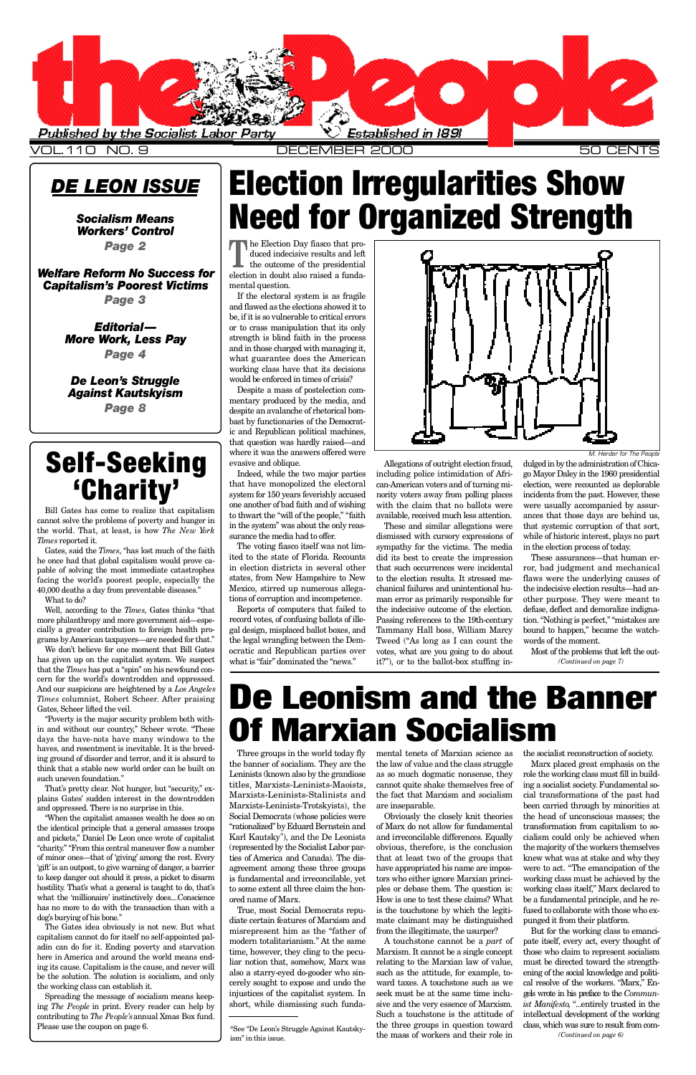### *DE LEON ISSUE*

*[Socialism Means](#page-1-0)* **Workers' Control** *Page 2*

**Welfare Reform No Success for Capitalism's Poorest Victims** *Page 3*

> *De Leon's Struggle [Against Kautskyism](#page-7-0) Page 8*

## **Self-Seeking** ' Charity'

*Ed i t o r i al— [M o re Work, Less Pay](#page-3-0) Page 4*

> Three groups in the world today fly the banner of socialism. They are the Leninists (known also by the grandiose titles, Marxists-Leninists-Maoists, Marxists-Leninists-Stalinists and Marxists-Leninists-Trotskyists), the Social Democrats (whose policies were "rationalized" by Eduard Bernstein and Karl Kautsky\*), and the De Leonists (represented by the Socialist Labor parties of America and Canada). The disagreement among these three groups is fundamental and irreconcilable, yet to some extent all three claim the honored name of Marx. True, most Social Democrats repudiate certain features of Marxism and misrepresent him as the "father of modern totalitarianism." At the same time, however, they cling to the peculiar notion that, somehow, Marx was also a starry-eyed do-gooder who sincerely sought to expose and undo the injustices of the capitalist system. In short, while dismissing such funda-

A touchstone cannot be a *part* of Marxism. It cannot be a single concept relating to the Marxian law of value, such as the attitude, for example, toward taxes. A touchstone such as we seek must be at the same time inclusive and the very essence of Marxism. Such a touchstone is the attitude of the three groups in question toward the mass of workers and their role in

mental tenets of Marxian science as the law of value and the class struggle as so much dogmatic nonsense, they cannot quite shake themselves free of

the fact that Marxism and socialism are inseparable.

Obviously the closely knit theories of Marx do not allow for fundamental and irreconcilable differences. Equally obvious, therefore, is the conclusion that at least two of the groups that have appropriated his name are impostors who either ignore Marxian principles or debase them. The question is: How is one to test these claims? What is the touchstone by which the legitimate claimant may be distinguished from the illegitimate, the usurper?

Tube divide indecisive results and left<br>
the outcome of the presidential<br>
election in doubt also raised a funda-**The Election Day fiasco that pro**duced indecisive results and left the outcome of the presidential mental question.

the socialist reconstruction of society.

Bill Gates has come to realize that capitalism cannot solve the problems of poverty and hunger in the world. That, at least, is how *The New York Times* reported it.

<span id="page-0-0"></span>

V OL.110 NO. 9 DECEMBER 2000 50 CENTS

Gates, said the *Times*, "has lost much of the faith he once had that global capitalism would prove capable of solving the most immediate catastrophes facing the world's poorest people, especially the 40,000 deaths a day from preventable diseases."

Well, according to the *Times*, Gates thinks "that more philanthropy and more government aid—especially a greater contribution to foreign health programs by American taxpayers—are needed for that."

If the electoral system is as fragile and flawed as the elections showed it to be, if it is so vulnerable to critical errors or to crass manipulation that its only strength is blind faith in the process and in those charged with managing it, what guarantee does the American working class have that its decisions would be enforced in times of crisis?

"When the capitalist amasses wealth he does so on the identical principle that a general amasses troops and pickets," Daniel De Leon once wrote of capitalist " charity." "From this central maneuver flow a number of minor ones—that of 'giving' among the rest. Every 'gift' is an outpost, to give warning of danger, a barrier to keep danger out should it press, a picket to disarm hostility. That's what a general is taught to do, that's what the 'millionaire' instinctively does....Conscience has no more to do with the transaction than with a dog's burying of his bone."

Despite a mass of postelection commentary produced by the media, and despite an avalanche of rhetorical bombast by functionaries of the Democratic and Republican political machines, that question was hardly raised—and where it was the answers offered were evasive and oblique.

Indeed, while the two major parties that have monopolized the electoral system for 150 years feverishly accused one another of bad faith and of wishing to thwart the "will of the people," "faith in the system" was about the only reassurance the media had to offer.

The voting fiasco itself was not limited to the state of Florida. Recounts in election districts in several other states, from New Hampshire to New Mexico, stirred up numerous allegations of corruption and incompetence.

Reports of computers that failed to record votes, of confusing ballots of illegal design, misplaced ballot boxes, and the legal wrangling between the Democratic and Republican parties over what is "fair" dominated the "news."



Allegations of outright election fraud, including police intimidation of African-American voters and of turning minority voters away from polling places with the claim that no ballots were available, received much less attention.

These and similar allegations were dismissed with cursory expressions of sympathy for the victims. The media did its best to create the impression that such occurrences were incidental to the election results. It stressed mechanical failures and unintentional human error as primarily responsible for the indecisive outcome of the election. Passing references to the 19th-century Tammany Hall boss, William Marcy Tweed ("As long as I can count the votes, what are you going to do about it?"), or to the ballot-box stuffing in-

> Marx placed great emphasis on the role the working class must fill in building a socialist society. Fundamental social transformations of the past had been carried through by minorities at the head of unconscious masses; the transformation from capitalism to socialism could only be achieved when the majority of the workers themselves knew what was at stake and why they were to act. "The emancipation of the working class must be achieved by the working class itself," Marx declared to be a fundamental principle, and he refused to collaborate with those who expunged it from their platform. But for the working class to emancipate itself, every act, every thought of those who claim to represent socialism must be directed toward the strengthening of the social knowledge and political resolve of the workers. "Marx," Engels wrote in his preface to the *Communist Manifesto*, "...entirely trusted in the intellectual development of the working class, which was sure to result from com-*(Continued on page 6)*

> dulged in by the administration of Chicago Mayor Daley in the 1960 presidential election, were recounted as deplorable incidents from the past. However, these were usually accompanied by assurances that those days are behind us, that systemic corruption of that sort, while of historic interest, plays no part in the election process of today.

> These assurances—that human error, bad judgment and mechanical flaws were the underlying causes of the indecisive election results—had another purpose. They were meant to defuse, deflect and demoralize indignation. "Nothing is perfect," "mistakes are bound to happen," became the watchwords of the moment.

What to do?

We don't believe for one moment that Bill Gates has given up on the capitalist system. We suspect that the *Times* has put a "spin" on his newfound concern for the world's downtrodden and oppressed. And our suspicions are heightened by a *Los Angeles Times* columnist, Robert Scheer. After praising Gates, Scheer lifted the veil.

"Poverty is the major security problem both within and without our country," Scheer wrote. "These days the have-nots have many windows to the haves, and resentment is inevitable. It is the breeding ground of disorder and terror, and it is absurd to think that a stable new world order can be built on such uneven foundation."

That's pretty clear. Not hunger, but "security," ex-

Most of the problems that left the out-*(Continued on page 7)*

plains Gates' sudden interest in the downtrodden and oppressed. There is no surprise in this.

The Gates idea obviously is not new. But what capitalism cannot do for itself no self-appointed paladin can do for it. Ending poverty and starvation here in America and around the world means ending its cause. Capitalism is the cause, and never will be the solution. The solution is socialism, and only the working class can establish it.

Spreading the message of socialism means keeping *The People* in print. Every reader can help by contributing to *The People's*annual Xmas Box fund. Please use the coupon on page 6.

Election Irregularities Show Need for Organized Strength

# De Leonism and the Banner Of Marxian Socialism

*M. Herder for The People*

\*See "De Leon's Struggle Against Kautskyism" in this issue.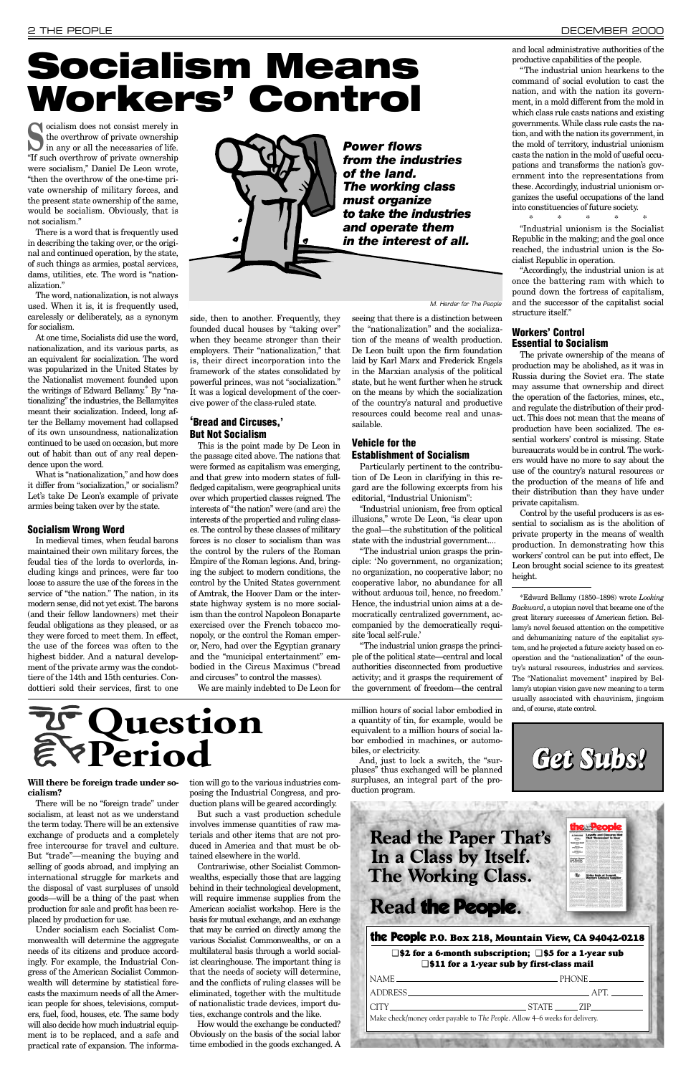**Socialism does not consist merely in**<br>the overthrow of private ownership<br>in any or all the necessaries of life. the overthrow of private ownership in any or all the necessaries of life. "If such overthrow of private ownership were socialism," Daniel De Leon wrote, "then the overthrow of the one-time private ownership of military forces, and the present state ownership of the same, would be socialism. Obviously, that is not socialism."

There is a word that is frequently used in describing the taking over, or the original and continued operation, by the state, of such things as armies, postal services, dams, utilities, etc. The word is "nationalization."

The word, nationalization, is not always used. When it is, it is frequently used, carelessly or deliberately, as a synonym for socialism.

At one time, Socialists did use the word, nationalization, and its various parts, as an equivalent for socialization. The word was popularized in the United States by the Nationalist movement founded upon the writings of Edward Bellamy.\* By "nationalizing" the industries, the Bellamyites meant their socialization. Indeed, long after the Bellamy movement had collapsed of its own unsoundness, nationalization continued to be used on occasion, but more out of habit than out of any real dependence upon the word.

What is "nationalization," and how does it differ from "socialization," or socialism? Let's take De Leon's example of private armies being taken over by the state.

#### **Socialism Wrong Word**

In medieval times, when feudal barons maintained their own military forces, the feudal ties of the lords to overlords, including kings and princes, were far too loose to assure the use of the forces in the service of "the nation." The nation, in its modern sense, did not yet exist. The barons (and their fellow landowners) met their feudal obligations as they pleased, or as they were forced to meet them. In effect, the use of the forces was often to the highest bidder. And a natural development of the private army was the condottiere of the 14th and 15th centuries. Condottieri sold their services, first to one

"The industrial union grasps the principle: 'No government, no organization; no organization, no cooperative labor; no cooperative labor, no abundance for all without arduous toil, hence, no freedom.' Hence, the industrial union aims at a democratically centralized government, accompanied by the democratically requisite 'local self-rule.'

side, then to another. Frequently, they founded ducal houses by "taking over" when they became stronger than their employers. Their "nationalization," that is, their direct incorporation into the framework of the states consolidated by powerful princes, was not "socialization." It was a logical development of the coercive power of the class-ruled state.

#### **'Bread and Circuses,' But Not Socialism**

This is the point made by De Leon in the passage cited above. The nations that were formed as capitalism was emerging, and that grew into modern states of fullfledged capitalism, were geographical units over which propertied classes reigned. The interests of "the nation" were (and are) the interests of the propertied and ruling classes. The control by these classes of military forces is no closer to socialism than was the control by the rulers of the Roman Empire of the Roman legions. And, bringing the subject to modern conditions, the control by the United States government of Amtrak, the Hoover Dam or the interstate highway system is no more socialism than the control Napoleon Bonaparte exercised over the French tobacco monopoly, or the control the Roman emperor, Nero, had over the Egyptian granary and the "municipal entertainment" embodied in the Circus Maximus ("bread and circuses" to control the masses).

We are mainly indebted to De Leon for

seeing that there is a distinction between the "nationalization" and the socialization of the means of wealth production. De Leon built upon the firm foundation laid by Karl Marx and Frederick Engels in the Marxian analysis of the political state, but he went further when he struck on the means by which the socialization of the country's natural and productive resources could become real and unassailable.

#### **Vehicle for the Establishment of Socialism**

Particularly pertinent to the contribution of De Leon in clarifying in this regard are the following excerpts from his editorial, "Industrial Unionism":

"Industrial unionism, free from optical illusions," wrote De Leon, "is clear upon the goal—the substitution of the political state with the industrial government....

"The industrial union grasps the principle of the political state—central and local authorities disconnected from productive activity; and it grasps the requirement of the government of freedom—the central

#### **cialism?**

There will be no "foreign trade" under socialism, at least not as we understand the term today. There will be an extensive exchange of products and a completely free intercourse for travel and culture. But "trade"—meaning the buying and selling of goods abroad, and implying an international struggle for markets and the disposal of vast surpluses of unsold goods—will be a thing of the past when production for sale and profit has been replaced by production for use.

**Will there be foreign trade under so-**tion will go to the various industries composing the Industrial Congress, and production plans will be geared accordingly.

Under socialism each Socialist Commonwealth will determine the aggregate needs of its citizens and produce accordingly. For example, the Industrial Congress of the American Socialist Commonwealth will determine by statistical forecasts the maximum needs of all the American people for shoes, televisions, computers, fuel, food, houses, etc. The same body will also decide how much industrial equipment is to be replaced, and a safe and practical rate of expansion. The informa-

But such a vast production schedule involves immense quantities of raw materials and other items that are not produced in America and that must be obtained elsewhere in the world.

Contrariwise, other Socialist Commonwealths, especially those that are lagging behind in their technological development, will require immense supplies from the American socialist workshop. Here is the basis for mutual exchange, and an exchange that may be carried on directly among the various Socialist Commonwealths, or on a multilateral basis through a world socialist clearinghouse. The important thing is that the needs of society will determine, and the conflicts of ruling classes will be eliminated, together with the multitude of nationalistic trade devices, import duties, exchange controls and the like.

How would the exchange be conducted? Obviously on the basis of the social labor time embodied in the goods exchanged. A million hours of social labor embodied in a quantity of tin, for example, would be equivalent to a million hours of social labor embodied in machines, or automobiles, or electricity.

And, just to lock a switch, the "surpluses" thus exchanged will be planned surpluses, an integral part of the pro-

duction program.

## **Read the Paper That's** In a Class by Itself. **The Working Class.**

# Read the People.

# <span id="page-1-0"></span>**Socialism Means Workers' Control**



*The working class must organize to take the industries and operate them in the interest of all.*

and local administrative authorities of the productive capabilities of the people.

"The industrial union hearkens to the command of social evolution to cast the nation, and with the nation its government, in a mold different from the mold in which class rule casts nations and existing governments. While class rule casts the nation, and with the nation its government, in the mold of territory, industrial unionism casts the nation in the mold of useful occupations and transforms the nation's government into the representations from these. Accordingly, industrial unionism organizes the useful occupations of the land into constituencies of future society.

\* \* \* \* \*

"Industrial unionism is the Socialist Republic in the making; and the goal once reached, the industrial union is the Socialist Republic in operation.

"Accordingly, the industrial union is at once the battering ram with which to pound down the fortress of capitalism, and the successor of the capitalist social structure itself."

#### **Workers' Control Essential to Socialism**

The private ownership of the means of production may be abolished, as it was in Russia during the Soviet era. The state may assume that ownership and direct the operation of the factories, mines, etc., and regulate the distribution of their product. This does not mean that the means of production have been socialized. The essential workers' control is missing. State bureaucrats would be in control. The workers would have no more to say about the use of the country's natural resources or the production of the means of life and their distribution than they have under private capitalism.

Control by the useful producers is as essential to socialism as is the abolition of private property in the means of wealth production. In demonstrating how this workers' control can be put into effect, De Leon brought social science to its greatest height.

\*Edward Bellamy (1850–1898) wrote *Looking Backward*, a utopian novel that became one of the great literary successes of American fiction. Bellamy's novel focused attention on the competitive and dehumanizing nature of the capitalist system, and he projected a future society based on cooperation and the "nationalization" of the country's natural resources, industries and services. The "Nationalist movement" inspired by Bellamy's utopian vision gave new meaning to a term usually associated with chauvinism, jingoism and, of course, state control.

#### the People **P.O. Box 218, Mountain View, CA 94042-0218**

#### ❑ **\$2 for a 6-month subscription;** ❑ **\$5 for a 1-year sub** ❑ **\$11 for a 1-year sub by first-class mail**

| $NAME$ $\overline{\phantom{a}}$<br>$.$ PHONE $\_\_\_\_\_\_\_\_\_\_\_\_\_\_\_\_\_\_\_\_\_\_$                                                                                                                                           |
|---------------------------------------------------------------------------------------------------------------------------------------------------------------------------------------------------------------------------------------|
| ADDRESS AND THE STATE OF THE STATE OF THE STATE OF THE STATE OF THE STATE OF THE STATE OF THE STATE OF THE STATE OF THE STATE OF THE STATE OF THE STATE OF THE STATE OF THE STATE OF THE STATE OF THE STATE OF THE STATE OF TH<br>APT |
| STATE ZIP                                                                                                                                                                                                                             |
| Make check/money order payable to The People. Allow 4–6 weeks for delivery.                                                                                                                                                           |
|                                                                                                                                                                                                                                       |
|                                                                                                                                                                                                                                       |



**Ukraine Close**<br>Lost Roactor

**Strike Ends at Sur**<br>Western Safeway



M. Herder for The People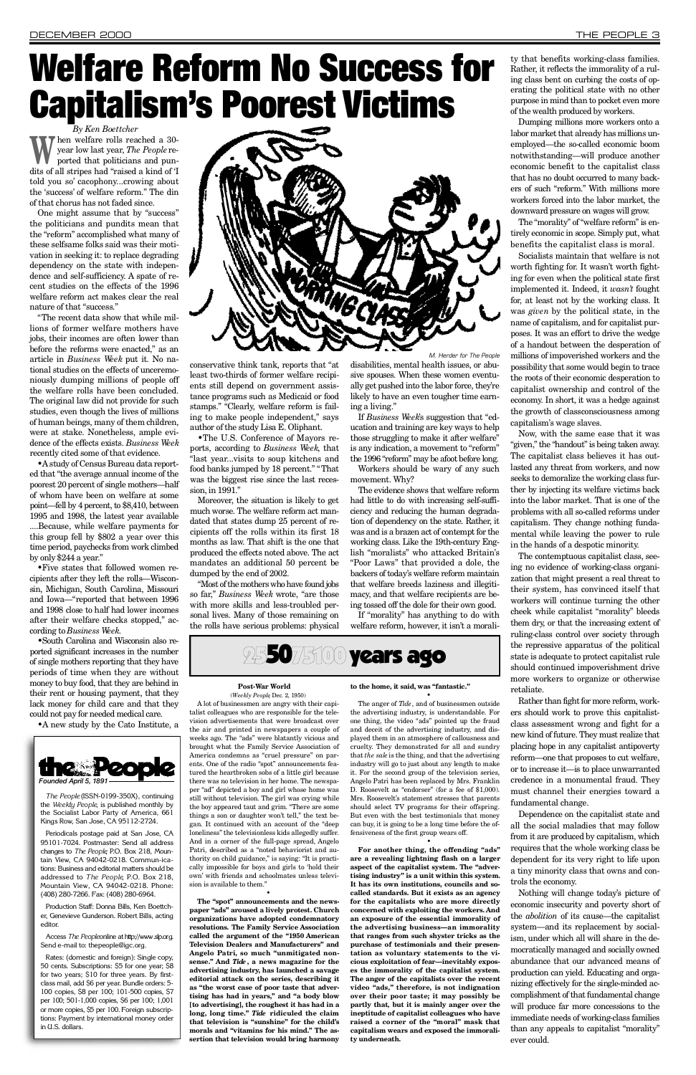*By Ken Boettcher* W year low last year, *The People* reported that politicians and pundits of all stripes had "raised a kind of 'I hen welfare rolls reached a 30 year low last year, *The People* reported that politicians and puntold you so' cacophony...crowing about the 'success' of welfare reform." The din of that chorus has not faded since.

One might assume that by "success" the politicians and pundits mean that the "reform" accomplished what many of these selfsame folks said was their motivation in seeking it: to replace degrading dependency on the state with independence and self-sufficiency. A spate of recent studies on the effects of the 1996 welfare reform act makes clear the real nature of that "success."

•Astudy of Census Bureau data reported that "the average annual income of the poorest 20 percent of single mothers—half of whom have been on welfare at some point—fell by 4 percent, to \$8,410, between 1995 and 1998, the latest year available ....Because, while welfare payments for this group fell by \$802 a year over this time period, paychecks from work climbed by only \$244 a year."

"The recent data show that while millions of former welfare mothers have jobs, their incomes are often lower than before the reforms were enacted," as an article in *Business* Week put it. No national studies on the effects of unceremoniously dumping millions of people off the welfare rolls have been concluded. The original law did not provide for such studies, even though the lives of millions of human beings, many of them children, were at stake. Nonetheless, ample evidence of the effects exists. *Business We e k* recently cited some of that evidence.

> Moreover, the situation is likely to get much worse. The welfare reform act mandated that states dump 25 percent of recipients off the rolls within its first 18 months as law. That shift is the one that produced the effects noted above. The act mandates an additional 50 percent be dumped by the end of 2002.

> "Most of the mothers who have found jobs so far," *Business* Week wrote, "are those with more skills and less-troubled personal lives. Many of those remaining on the rolls have serious problems: physical

•Five states that followed women recipients after they left the rolls—Wisconsin, Michigan, South Carolina, Missouri and Iowa—"reported that between 1996 and 1998 close to half had lower incomes after their welfare checks stopped," according to *Business We e k*.

If *Business Week's* suggestion that "education and training are key ways to help those struggling to make it after welfare" is any indication, a movement to "reform" the 1996 "reform" may be afoot before long.

•South Carolina and Wisconsin also reported significant increases in the number of single mothers reporting that they have periods of time when they are without money to buy food, that they are behind in their rent or housing payment, that they lack money for child care and that they could not pay for needed medical care.

•A new study by the Cato Institute, a

conservative think tank, reports that "at least two-thirds of former welfare recipients still depend on government assistance programs such as Medicaid or food stamps." "Clearly, welfare reform is failing to make people independent," says author of the study Lisa E. Oliphant.

The "morality" of "welfare reform" is entirely economic in scope. Simply put, what benefits the capitalist class is moral.

Socialists maintain that welfare is not worth fighting for. It wasn't worth fighting for even when the political state first implemented it. Indeed, it *wasn't* fought for, at least not by the working class. It was *given* by the political state, in the name of capitalism, and for capitalist purposes. It was an effort to drive the wedge of a handout between the desperation of millions of impoverished workers and the possibility that some would begin to trace the roots of their economic desperation to capitalist ownership and control of the e conomy. In short, it was a hedge against the growth of classconsciousness among capitalism's wage slaves.

•The U.S. Conference of Mayors reports, according to *Business We e k*, that "last year...visits to soup kitchens and food banks jumped by 18 percent." "That was the biggest rise since the last recession, in 1991."

Now, with the same ease that it was "given," the "handout" is being taken away. The capitalist class believes it has outlasted any threat from workers, and now seeks to demoralize the working class further by injecting its welfare victims back into the labor market. That is one of the problems with all so-called reforms under capitalism. They change nothing fundamental while leaving the power to rule in the hands of a despotic minority.

Workers should be wary of any such movement. Why?

The evidence shows that welfare reform had little to do with increasing self-sufficiency and reducing the human degradation of dependency on the state. Rather, it was and is a brazen act of contempt for the working class. Like the 19th-century English "moralists" who attacked Britain's "Poor Laws" that provided a dole, the backers of today's welfare reform maintain that welfare breeds laziness and illegitimacy, and that welfare recipients are being tossed off the dole for their own good.

**Post-War World** (*Weekly People*, Dec. 2, 1950) disabilities, mental health issues, or abusive spouses. When these women eventually get pushed into the labor force, they're likely to have an even tougher time earning a living." *M. Herde* 

If "morality" has anything to do with welfare reform, however, it isn't a morality that benefits working-class families. Rather, it reflects the immorality of a ruling class bent on curbing the costs of operating the political state with no other purpose in mind than to pocket even more of the wealth produced by workers.

"ad" depicted a boy and girl whose home was still without television. The girl was crying while the boy appeared taut and grim. "There are some things a son or daughter won't tell," the text began. It continued with an account of the "deep loneliness" the televisionless kids allegedly suffer. And in a corner of the full-page spread, Angelo Patri, described as a "noted behaviorist and authority on child guidance," is saying: "It is practically impossible for boys and girls to 'hold their own' with friends and schoolmates unless television is available to them."

Dumping millions more workers onto a labor market that already has millions unemployed—the so-called economic boom notwithstanding—will produce another economic benefit to the capitalist class that has no doubt occurred to many backers of such "reform." With millions more workers forced into the labor market, the downward pressure on wages will grow.

# <span id="page-2-0"></span>Welfare Reform No Success for **Capitalism's Poorest Victims**

The contemptuous capitalist class, seeing no evidence of working-class organization that might present a real threat to their system, has convinced itself that workers will continue turning the other cheek while capitalist "morality" bleeds them dry, or that the increasing extent of ruling-class control over society through the repressive apparatus of the political state is adequate to protect capitalist rule should continued impoverishment drive more workers to organize or otherwise retaliate.

Rather than fight for more reform, workers should work to prove this capitalistclass assessment wrong and fight for a new kind of future. They must realize that placing hope in any capitalist antipoverty reform—one that proposes to cut welfare, or to increase it—is to place unwarranted credence in a monumental fraud. They must channel their energies toward a fundamental change.

Dependence on the capitalist state and all the social maladies that may follow from it are produced by capitalism, which requires that the whole working class be dependent for its very right to life upon a tiny minority class that owns and controls the economy.

Nothing will change today's picture of economic insecurity and poverty short of the *abolition* of its cause—the capitalist system—and its replacement by socialism, under which all will share in the democratically managed and socially owned abundance that our advanced means of production can yield. Educating and organizing effectively for the single-minded accomplishment of that fundamental change will produce far more concessions to the immediate needs of working-class families than any appeals to capitalist "morality" ever could.

•

A lot of businessmen are angry with their capitalist colleagues who are responsible for the television advertisements that were broadcast over the air and printed in newspapers a couple of weeks ago. The "ads" were blatantly vicious and brought what the Family Service Association of America condemns as "cruel pressure" on parents. One of the radio "spot" announcements featured the heartbroken sobs of a little girl because there was no television in her home. The newspa-• The anger of Tide, and of businessmen outside the advertising industry, is understandable. For one thing, the video "ads" pointed up the fraud and deceit of the advertising industry, and displayed them in an atmosphere of callousness and cruelty. They demonstrated for all and sundry that *the sale*is the thing, and that the advertising industry will go to just about any length to make it. For the second group of the television series, Angelo Patri has been replaced by Mrs. Franklin D. Roosevelt as "endorser" (for a fee of \$1,000). Mrs. Roosevelt's statement stresses that parents should select TV programs for their offspring. But even with the best testimonials that money can buy, it is going to be a long time before the offensiveness of the first group wears off.

**The "spot" announcements and the newspaper "ads" aroused a lively protest. Church organizations have adopted condemnatory** resolutions. The Family Service Association called the argument of the "1950 American **Television Dealers and Manufacturers" and Angelo Patri, so much "unmitigated non**sense." And *Tide*, a news magazine for the **advertising industry, has launched a savage editorial attack on the series, describing it as "the worst case of poor taste that advertising has had in years," and "a body blow [to advertising], the roughest it has had in a** long, long time." Tide ridiculed the claim **that television is "sunshine" for the child's morals and "vitamins for his mind." The assertion that television would bring harmony** **to the home, it said, was "fantastic."** 

•

**For another thing, the offending "ads" are a revealing lightning flash on a larger aspect of the capitalist system. The "advertising industry" is a unit within this system. It has its own institutions, councils and socalled standards. But it exists as an agency for the capitalists who are more directly** concerned with exploiting the workers. And **an exposure of the essential immorality of the advertising business—an immorality that ranges from such shyster tricks as the purchase of testimonials and their presentation as voluntary statements to the vicious exploitation of fear—inevitably exposes the immorality of the capitalist system. The anger of the capitalists over the recent video "ads," therefore, is not indignation over their poor taste; it may possibly be partly that, but it is mainly anger over the ineptitude of capitalist colleagues who have raised a corner of the "moral" mask that capitalism wears and exposed the immorality underneath.**





*The People* (ISSN-0199-350X), continuing the *Weekly People*, is published monthly by the Socialist Labor Party of America, 661 Kings Row, San Jose, CA 95112-2724.

Periodicals postage paid at San Jose, CA 95101-7024. Postmaster: Send all address changes to *The People*, P.O. Box 218, Moun- $\tau$ tain View, CA 94042-0218. Commun-ications: Business and editorial matters should be addressed to *The People*, P.O. Box 218, Mountain View, CA 94042-0218. Phone: (408) 280-7266. Fax: (408) 280-6964.

Production Staff: Donna Bills, Ken Boettcher, Genevieve Gunderson. Robert Bills, acting editor.

Access The Peopleonline at http://www.slp.org. Send e-mail to: thepeople@igc.org.

Rates: (domestic and foreign): Single copy, 50 cents. Subscriptions: \$5 for one year; \$8 for two years; \$10 for three years. By firstclass mail, add \$6 per year. Bundle orders: 5- 100 copies, \$8 per 100; 101-500 copies, \$7 per 100; 501-1,000 copies, \$6 per 100; 1,001 or more copies, \$5 per 100. Foreign subscriptions: Payment by international money order in U.S. dollars.

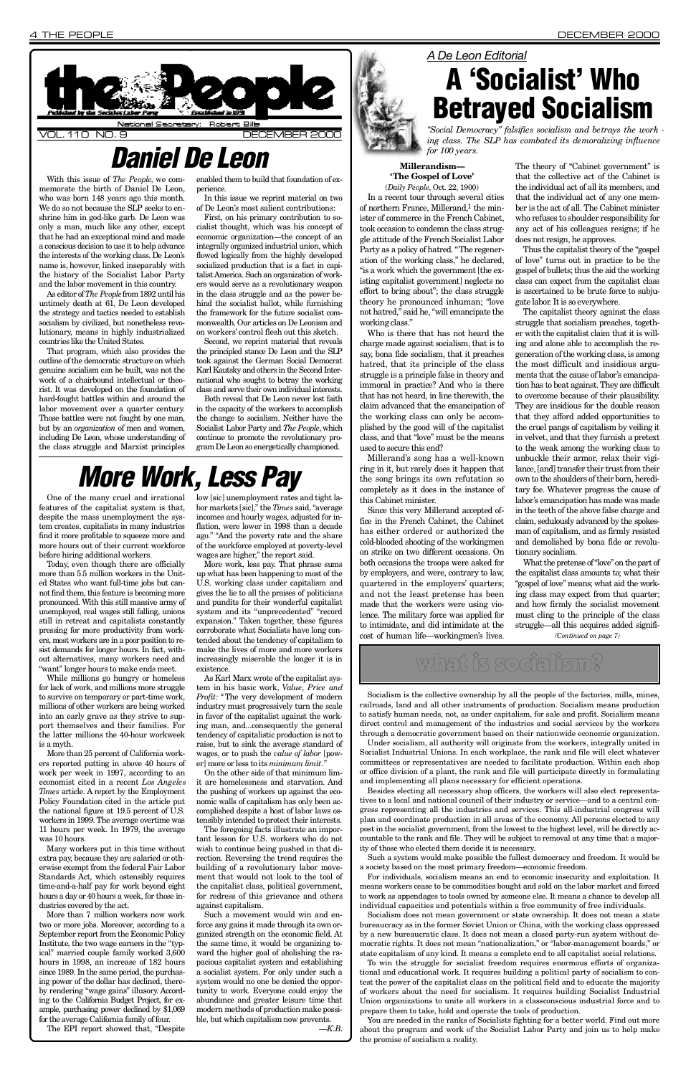#### **Millerandism-'The Gospel of Love'**

(*Daily People*, Oct. 22, 1900) In a recent tour through several cities of northern France, Millerand, $<sup>1</sup>$  the min-</sup> ister of commerce in the French Cabinet, took occasion to condemn the class struggle attitude of the French Socialist Labor Party as a policy of hatred. "The regeneration of the working class," he declared, "is a work which the government [the existing capitalist government] neglects no effort to bring about"; the class struggle theory he pronounced inhuman; "love not hatred," said he, "will emancipate the working class."

Millerand's song has a well-known ring in it, but rarely does it happen that the song brings its own refutation so completely as it does in the instance of this Cabinet minister.

Who is there that has not heard the charge made against socialism, that is to say, bona fide socialism, that it preaches hatred, that its principle of the class struggle is a principle false in theory and immoral in practice? And who is there that has not heard, in line therewith, the claim advanced that the emancipation of the working class can only be accomplished by the good will of the capitalist class, and that "love" must be the means used to secure this end?

Since this very Millerand accepted office in the French Cabinet, the Cabinet has either ordered or authorized the cold-blooded shooting of the workingmen on strike on two different occasions. On both occasions the troops were asked for by employers, and were, contrary to law, quartered in the employers' quarters; and not the least pretense has been made that the workers were using violence. The military force was applied for to intimidate, and did intimidate at the cost of human life—workingmen's lives.

The theory of "Cabinet government" is that the collective act of the Cabinet is the individual act of all its members, and that the individual act of any one member is the act of all. The Cabinet minister who refuses to shoulder responsibility for any act of his colleagues resigns; if he does not resign, he approves.

Thus the capitalist theory of the "gospel of love" turns out in practice to be the gospel of bullets; thus the aid the working class can expect from the capitalist class is ascertained to be brute force to subjugate labor. It is so everywhere.

The capitalist theory against the class struggle that socialism preaches, together with the capitalist claim that it is willing and alone able to accomplish the regeneration of the working class, is among the most difficult and insidious arguments that the cause of labor's emancipation has to beat against. They are difficult to overcome because of their plausibility. They are insidious for the double reason that they afford added opportunities to the cruel pangs of capitalism by veiling it in velvet, and that they furnish a pretext to the weak among the working class to unbuckle their armor, relax their vigilance, [and] transfer their trust from their own to the shoulders of their born, hereditary foe. Whatever progress the cause of labor's emancipation has made was made i n the teeth of the above false charge and claim, sedulously advanced by the spokesman of capitalism, and as firmly resisted and demolished by bona fide or revolutionary socialism.

<span id="page-3-0"></span>

With this issue of *The People*, we commemorate the birth of Daniel De Leon, who was born 148 years ago this month. We do so not because the SLP seeks to enshrine him in god-like garb. De Leon was only a man, much like any other, except that he had an exceptional mind and made a conscious decision to use it to help advance the interests of the working class. De Leon's name is, however, linked inseparably with the history of the Socialist Labor Party and the labor movement in this country.

As editor of *The People*from 1892 until his untimely death at 61, De Leon developed the strategy and tactics needed to establish socialism by civilized, but nonetheless revolutionary, means in highly industrialized countries like the United States.

That program, which also provides the outline of the democratic structure on which genuine socialism can be built, was not the work of a chairbound intellectual or theorist. It was developed on the foundation of hard-fought battles within and around the labor movement over a quarter century. Those battles were not fought by one man, but by an *organization* of men and women, including De Leon, whose understanding of the class struggle and Marxist principles

enabled them to build that foundation of experience.

In this issue we reprint material on two of De Leon's most salient contributions:

Today, even though there are officially more than 5.5 million workers in the United States who want full-time jobs but cannot find them, this feature is becoming more pronounced. With this still massive army of unemployed, real wages still falling, unions still in retreat and capitalists constantly pressing for more productivity from workers, most workers are in a poor position to resist demands for longer hours. In fact, without alternatives, many workers need and "want" longer hours to make ends meet.

First, on his primary contribution to socialist thought, which was his concept of economic organization—the concept of an integrally organized industrial union, which flowed logically from the highly developed socialized production that is a fact in capitalist America. Such an organization of workers would serve as a revolutionary weapon in the class struggle and as the power behind the socialist ballot, while furnishing the framework for the future socialist commonwealth. Our articles on De Leonism and on workers' control flesh out this sketch.

Second, we reprint material that reveals the principled stance De Leon and the SLP took against the German Social Democrat Karl Kautsky and others in the Second International who sought to betray the working class and serve their own individual interests.

Both reveal that De Leon never lost faith in the capacity of the workers to accomplish the change to socialism. Neither have the Socialist Labor Party and *The People*, which continue to promote the revolutionary program De Leon so energetically championed.

## *More Work, Less Pay*

low [sic] unemployment rates and tight labor markets [sic]," the *Times* said, "average incomes and hourly wages, adjusted for inflation, were lower in 1998 than a decade ago." "And the poverty rate and the share of the workforce employed at poverty-level wages are higher," the report said.

More work, less pay. That phrase sums up what has been happening to most of the U.S. working class under capitalism and gives the lie to all the praises of politicians and pundits for their wonderful capitalist system and its "unprecedented" "record expansion." Taken together, these figures corroborate what Socialists have long contended about the tendency of capitalism to make the lives of more and more workers increasingly miserable the longer it is in existence.

## *Daniel De Leon*

#### *A De Leon Editorial*



*"Social Democracy" falsifies socialism and betrays the work ing class. The SLP has combated its demoralizing influence for 100 years.*

## what is socialism?

Socialism is the collective ownership by all the people of the factories, mills, mines, railroads, land and all other instruments of production. Socialism means production to satisfy human needs, not, as under capitalism, for sale and profit. Socialism means direct control and management of the industries and social services by the workers through a democratic government based on their nationwide economic organization.

Under socialism, all authority will originate from the workers, integrally united in Socialist Industrial Unions. In each workplace, the rank and file will elect whatever committees or representatives are needed to facilitate production. Within each shop or office division of a plant, the rank and file will participate directly in formulating and implementing all plans necessary for efficient operations.

Besides electing all necessary shop officers, the workers will also elect representatives to a local and national council of their industry or service—and to a central congress representing all the industries and services. This all-industrial congress will plan and coordinate production in all areas of the economy. All persons elected to any post in the socialist government, from the lowest to the highest level, will be directly accountable to the rank and file. They will be subject to removal at any time that a majority of those who elected them decide it is necessary.

Such a system would make possible the fullest democracy and freedom. It would be a society based on the most primary freedom—economic freedom.

For individuals, socialism means an end to economic insecurity and exploitation. It means workers cease to be commodities bought and sold on the labor market and forced to work as appendages to tools owned by someone else. It means a chance to develop all individual capacities and potentials within a free community of free individuals.

Socialism does not mean government or state ownership. It does not mean a state bureaucracy as in the former Soviet Union or China, with the working class oppressed by a new bureaucratic class. It does not mean a closed party-run system without democratic rights. It does not mean "nationalization," or "labor-management boards," or state capitalism of any kind. It means a complete end to all capitalist social relations.

What the pretense of "love" on the part of the capitalist class amounts to; what their "gospel of love" means; what aid the working class may expect from that quarter; and how firmly the socialist movement must cling to the principle of the class struggle—all this acquires added signifi-*(Continued on page 7)*

To win the struggle for socialist freedom requires enormous efforts of organizational and educational work. It requires building a political party of socialism to contest the power of the capitalist class on the political field and to educate the majority of workers about the need for socialism. It requires building Socialist Industrial Union organizations to unite all workers in a classconscious industrial force and to prepare them to take, hold and operate the tools of production.

You are needed in the ranks of Socialists fighting for a better world. Find out more about the program and work of the Socialist Labor Party and join us to help make the promise of socialism a reality.

One of the many cruel and irrational features of the capitalist system is that, despite the mass unemployment the system creates, capitalists in many industries find it more profitable to squeeze more and more hours out of their current workforce before hiring additional workers.

While millions go hungry or homeless for lack of work, and millions more struggle to survive on temporary or part-time work, millions of other workers are being worked into an early grave as they strive to support themselves and their families. For the latter millions the 40-hour workweek is a myth.

More than 25 percent of California workers reported putting in above 40 hours of work per week in 1997, according to an economist cited in a recent *Los Angeles Times* article. A report by the Employment Policy Foundation cited in the article put the national figure at 19.5 percent of U.S. workers in 1999. The average overtime was 11 hours per week. In 1979, the average was 10 hours. Many workers put in this time without extra pay, because they are salaried or otherwise exempt from the federal Fair Labor Standards Act, which ostensibly requires time-and-a-half pay for work beyond eight hours a day or 40 hours a week, for those industries covered by the act. More than 7 million workers now work two or more jobs. Moreover, according to a September report from the Economic Policy Institute, the two wage earners in the "typical" married couple family worked 3,600 hours in 1998, an increase of 182 hours since 1989. In the same period, the purchasing power of the dollar has declined, thereby rendering "wage gains" illusory. According to the California Budget Project, for example, purchasing power declined by \$1,069 for the average California family of four. The EPI report showed that, "Despite

As Karl Marx wrote of the capitalist system in his basic work, *Value, Price and Profit:* " The very development of modern industry must progressively turn the scale in favor of the capitalist against the working man, and...consequently the general tendency of capitalistic production is not to raise, but to sink the average standard of wages, or to push the *value of labor* [power] more or less to its *minimum limit*. "

On the other side of that minimum limit are homelessness and starvation. And the pushing of workers up against the economic walls of capitalism has only been accomplished despite a host of labor laws ostensibly intended to protect their interests. The foregoing facts illustrate an important lesson for U.S. workers who do not wish to continue being pushed in that direction. Reversing the trend requires the building of a revolutionary labor movement that would not look to the tool of the capitalist class, political government, for redress of this grievance and others against capitalism. Such a movement would win and enforce any gains it made through its own organized strength on the economic field. At the same time, it would be organizing toward the higher goal of abolishing the rapacious capitalist system and establishing a socialist system. For only under such a system would no one be denied the opportunity to work. Everyone could enjoy the abundance and greater leisure time that modern methods of production make possible, but which capitalism now prevents. *— K . B .*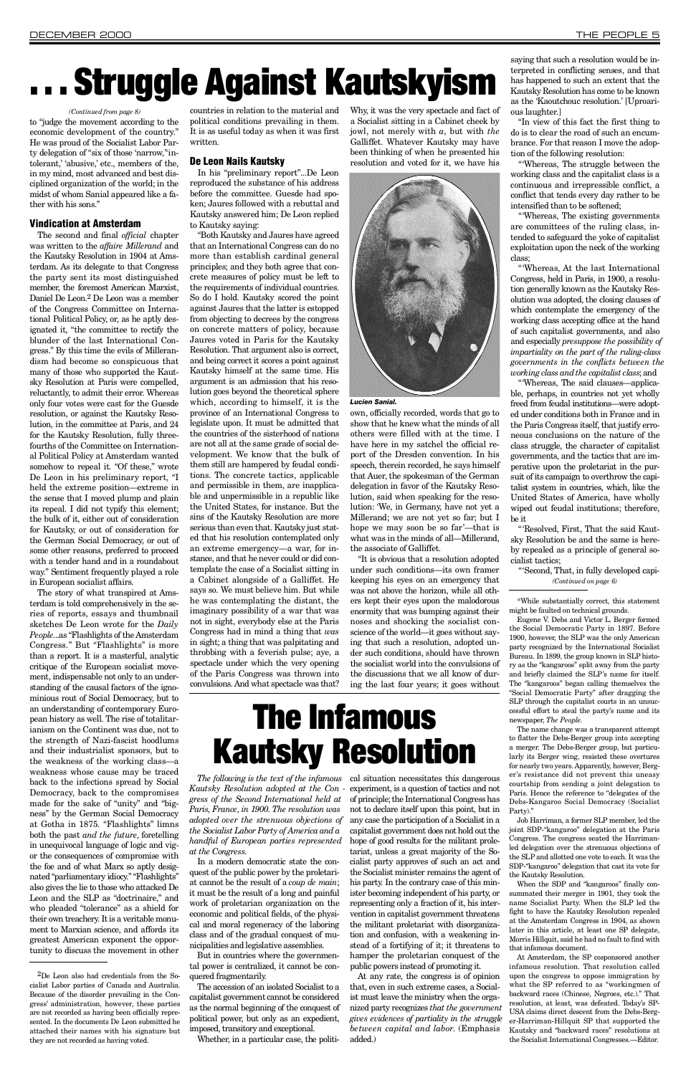to "judge the movement according to the economic development of the country. " He was proud of the Socialist Labor Party delegation of "six of those 'narrow," intolerant,' 'abusive,' etc., members of the, in my mind, most advanced and best disciplined organization of the world; in the midst of whom Sanial appeared like a father with his sons."

#### Vindication at Amsterdam

The second and final *official* chapter was written to the *affaire Millerand* and the Kautsky Resolution in 1904 at Amsterdam. As its delegate to that Congress the party sent its most distinguished member, the foremost American Marxist, Daniel De Leon.<sup>2</sup> De Leon was a member of the Congress Committee on International Political Policy, or, as he aptly designated it, "the committee to rectify the blunder of the last International Congress." By this time the evils of Millerandism had become so conspicuous that many of those who supported the Kautsky Resolution at Paris were compelled, reluctantly, to admit their error. Whereas only four votes were cast for the Guesde resolution, or against the Kautsky Resolution, in the committee at Paris, and 24 for the Kautsky Resolution, fully threefourths of the Committee on International Political Policy at Amsterdam wanted somehow to repeal it. "Of these," wrote De Leon in his preliminary report, "I held the extreme position—extreme in the sense that I moved plump and plain its repeal. I did not typify this element; the bulk of it, either out of consideration for Kautsky, or out of consideration for the German Social Democracy, or out of some other reasons, preferred to proceed with a tender hand and in a roundabout way." Sentiment frequently played a role in European socialist affairs.

The story of what transpired at Amsterdam is told comprehensively in the series of reports, essays and thumbnail sketches De Leon wrote for the *Daily People...as* "Flashlights of the Amsterdam Congress." But "Flashlights" is more than a report. It is a masterful, analytic critique of the European socialist movement, indispensable not only to an understanding of the causal factors of the ignominious rout of Social Democracy, but to an understanding of contemporary European history as well. The rise of totalitarianism on the Continent was due, not to the strength of Nazi-fascist hoodlums and their industrialist sponsors, but to the weakness of the working class—a weakness whose cause may be traced back to the infections spread by Social Democracy, back to the compromises made for the sake of "unity" and "bigness" by the German Social Democracy at Gotha in 1875. "Flashlights" limns both the past *and the future*, foretelling in unequivocal language of logic and vigor the consequences of compromise with the foe and of what Marx so aptly designated "parliamentary idiocy." "Flashlights" also gives the lie to those who attacked De Leon and the SLP as "doctrinaire," and who pleaded "tolerance" as a shield for their own treachery. It is a veritable monument to Marxian science, and affords its greatest American exponent the opportunity to discuss the movement in other

countries in relation to the material and political conditions prevailing in them. It is as useful today as when it was first written.

Why, it was the very spectacle and fact of a Socialist sitting in a Cabinet cheek by jowl, not merely with *a*, but with *the* Galliffet. Whatever Kautsky may have been thinking of when he presented his resolution and voted for it, we have his



#### De Leon Nails Kautsky

In his "preliminary report"...De Leon reproduced the substance of his address before the committee. Guesde had spoken; Jaures followed with a rebuttal and Kautsky answered him; De Leon replied to Kautsky saying:

"'Whereas, The existing governments are committees of the ruling class, intended to safeguard the yoke of capitalist exploitation upon the neck of the working class;

*The following is the text of the infamous* cal situation necessitates this dangerous *Kautsky Resolution adopted at the Con -* experiment, is a question of tactics and not *gress of the Second International held at adopted over the strenuous objections of handful of European parties represented* In a modern democratic state the conquest of the public power by the proletariat cannot be the result of a *coup de main*; it must be the result of a long and painful work of proletarian organization on the economic and political fields, of the physical and moral regeneracy of the laboring class and of the gradual conquest of municipalities and legislative assemblies. But in countries where the governmental power is centralized, it cannot be conquered fragmentarily. The accession of an isolated Socialist to a of principle; the International Congress has not to declare itself upon this point, but in any case the participation of a Socialist in a capitalist government does not hold out the hope of good results for the militant proletariat, unless a great majority of the Socialist party approves of such an act and the Socialist minister remains the agent of his party. In the contrary case of this minister becoming independent of his party, or representing only a fraction of it, his intervention in capitalist government threatens the militant proletariat with disorganization and confusion, with a weakening instead of a fortifying of it; it threatens to hamper the proletarian conquest of the public powers instead of promoting it. At any rate, the congress is of opinion that, even in such extreme cases, a Socialist must leave the ministry when the organized party recognizes *that the government gives evidences of partiality in the struggle between capital and labor.* (Emphasis added.)

"Both Kautsky and Jaures have agreed that an International Congress can do no more than establish cardinal general principles; and they both agree that concrete measures of policy must be left to the requirements of individual countries. So do I hold. Kautsky scored the point against Jaures that the latter is estopped from objecting to decrees by the congress on concrete matters of policy, because Jaures voted in Paris for the Kautsky Resolution. That argument also is correct, and being correct it scores a point against Kautsky himself at the same time. His argument is an admission that his resolution goes beyond the theoretical sphere which, according to himself, it is the province of an International Congress to legislate upon. It must be admitted that the countries of the sisterhood of nations are not all at the same grade of social development. We know that the bulk of them still are hampered by feudal conditions. The concrete tactics, applicable and permissible in them, are inapplicable and unpermissible in a republic like the United States, for instance. But the sins of the Kautsky Resolution are more serious than even that. Kautsky just stated that his resolution contemplated only an extreme emergency—a war, for instance, and that he never could or did contemplate the case of a Socialist sitting in a Cabinet alongside of a Galliffet. He says so. We must believe him. But while he was contemplating the distant, the imaginary possibility of a war that was not in sight, everybody else at the Paris Congress had in mind a thing that *was* in sight; a thing that was palpitating and throbbing with a feverish pulse; aye, a spectacle under which the very opening of the Paris Congress was thrown into convulsions. And what spectacle was that?

Eugene V. Debs and Victor L. Berger formed the Social Democratic Party in 1897. Before 1900, however, the SLP was the only American party recognized by the International Socialist Bureau. In 1899, the group known in SLP history as the "kangaroos" split away from the party and briefly claimed the SLP's name for itself. The "kangaroos" began calling themselves the "Social Democratic Party" after dragging the SLP through the capitalist courts in an unsuccessful effort to steal the party's name and its newspaper, *The People*.

The name change was a transparent attempt to flatter the Debs-Berger group into accepting a merger. The Debs-Berger group, but particularly its Berger wing, resisted these overtures for nearly two years. Apparently, however, Berger's resistance did not prevent this uneasy courtship from sending a joint delegation to Paris. Hence the reference to "delegates of the Debs-Kangaroo Social Democracy (Socialist Party).'

own, officially recorded, words that go to show that he knew what the minds of all others were filled with at the time. I have here in my satchel the official report of the Dresden convention. In his speech, therein recorded, he says himself that Auer, the spokesman of the German delegation in favor of the Kautsky Resolution, said when speaking for the resolution: 'We, in Germany, have not yet a Millerand; we are not yet so far; but I hope we may soon be so far'—that is what was in the minds of all—Millerand, the associate of Galliffet.

> Job Harriman, a former  ${\rm SLP}$  member, led the joint SDP-"kangaroo" delegation at the Paris Congress. The congress seated the Harrimanled delegation over the strenuous objections of the SLP and allotted one vote to each. It was the SDP-"kangaroo" delegation that cast its vote for the Kautsky Resolution.

"It is obvious that a resolution adopted under such conditions—its own framer keeping his eyes on an emergency that was not above the horizon, while all others kept their eyes upon the malodorous enormity that was bumping against their noses and shocking the socialist conscience of the world—it goes without saying that such a resolution, adopted under such conditions, should have thrown the socialist world into the convulsions of the discussions that we all know of during the last four years; it goes without saying that such a resolution would be interpreted in conflicting senses, and that has happened to such an extent that the Kautsky Resolution has come to be known as the 'Kaoutchouc resolution.' [Uproarious laughter. ]

"In view of this fact the first thing to do is to clear the road of such an encumbrance. For that reason I move the adoption of the following resolution:

"'Whereas, The struggle between the working class and the capitalist class is a continuous and irrepressible conflict, a conflict that tends every day rather to be intensified than to be softened;

"'Whereas, At the last International Congress, held in Paris, in 1900, a resolution generally known as the Kautsky Resolution was adopted, the closing clauses of which contemplate the emergency of the working class accepting office at the hand of such capitalist governments, and also and especially *presuppose the possibility of impartiality on the part of the ruling-class governments in the conflicts between the working class and the capitalist class*; and

"'Whereas, The said clauses—applicable, perhaps, in countries not yet wholly freed from feudal institutions—were adopted under conditions both in France and in the Paris Congress itself, that justify erroneous conclusions on the nature of the class struggle, the character of capitalist governments, and the tactics that are imperative upon the proletariat in the pursuit of its campaign to overthrow the capitalist system in countries, which, like the United States of America, have wholly wiped out feudal institutions; therefore, be it

"'Resolved, First, That the said Kautsky Resolution be and the same is hereby repealed as a principle of general socialist tactics;

# . . . Struggle Against Kautskyism

*Paris, France, in 1900. The resolution was the Socialist Labor Party of America and a at the Congress.*

capitalist government cannot be considered as the normal beginning of the conquest of political power, but only as an expedient, imposed, transitory and exceptional.

Whether, in a particular case, the politi-

## The Infamous Kautsky Resolution

#### *Lucien Sanial.*

#### *(Continued from page 8)*

"'Second, That, in fully developed capi- *(Continued on page 6)*

When the SDP and "kangaroos" finally consummated their merger in 1901, they took the name Socialist Party. When the SLP led the fight to have the Kautsky Resolution repealed at the Amsterdam Congress in 1904, as shown later in this article, at least one SP delegate, Morris Hillquit, said he had no fault to find with that infamous document.

At Amsterdam, the SP cosponsored another infamous resolution. That resolution called upon the congress to oppose immigration by what the SP referred to as "workingmen of backward races (Chinese, Negroes, etc.)." That resolution, at least, was defeated. Today's SP-USA claims direct descent from the Debs-Berger-Harriman-Hillquit SP that supported the Kautsky and "backward races" resolutions at the Socialist International Congresses.—Editor.

2De Leon also had credentials from the Socialist Labor parties of Canada and Australia. Because of the disorder prevailing in the Congress' administration, however, these parties are not recorded as having been officially represented. In the documents De Leon submitted he attached their names with his signature but they are not recorded as having voted.

<sup>\*</sup>While substantially correct, this statement might be faulted on technical grounds.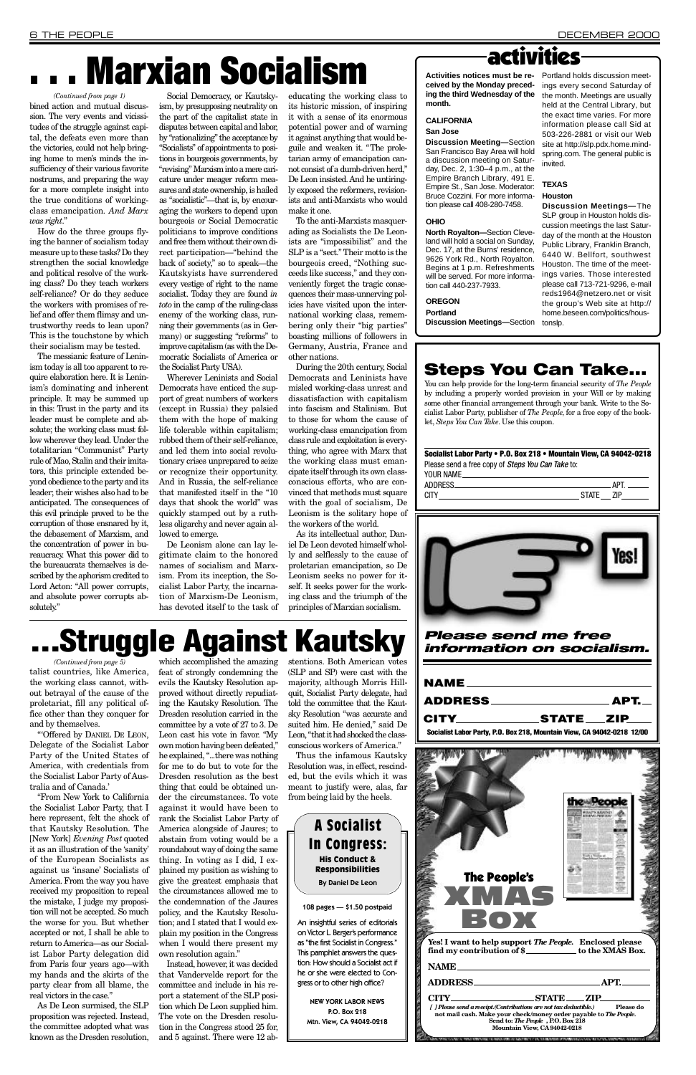# **Marxian Socialism**

| NAME            |                                                                         |
|-----------------|-------------------------------------------------------------------------|
| ADDRESS________ | $\_$ APT. $\_$                                                          |
|                 | STATE ZIP                                                               |
|                 | Socialist Labor Party, P.O. Box 218, Mountain View, CA 94042-0218 12/00 |
|                 |                                                                         |

## . Struggle Against Kautsky

*Please send me free information on socialism.*

How do the three groups flying the banner of socialism today measure up to these tasks? Do they strengthen the social knowledge and political resolve of the working class? Do they teach workers self-reliance? Or do they seduce the workers with promises of relief and offer them flimsy and untrustworthy reeds to lean upon? This is the touchstone by which their socialism may be tested.

The messianic feature of Leninism today is all too apparent to require elaboration here. It is Leninism's dominating and inherent principle. It may be summed up in this: Trust in the party and its leader must be complete and absolute; the working class must follow wherever they lead. Under the totalitarian "Communist" Party rule of Mao, Stalin and their imitators, this principle extended beyond obedience to the party and its leader; their wishes also had to be anticipated. The consequences of this evil principle proved to be the corruption of those ensnared by it, the debasement of Marxism, and the concentration of power in bureaucracy. What this power did to the bureaucrats themselves is described by the aphorism credited to Lord Acton: "All power corrupts, and absolute power corrupts absolutely."

To the anti-Marxists masquerading as Socialists the De Leonists are "impossibilist" and the SLP is a "sect." Their motto is the bourgeois creed, "Nothing succeeds like success," and they conveniently forget the tragic consequences their mass-unnerving policies have visited upon the international working class, remembering only their "big parties" boasting millions of followers in Germany, Austria, France and other nations.

Social Democracy, or Kautskyism, by presupposing neutrality on the part of the capitalist state in disputes between capital and labor, by "rationalizing" the acceptance by "Socialists" of appointments to positions in bourgeois governments, by "revising" Marxism into a mere caricature under meager reform measures and state ownership, is hailed as "socialistic"—that is, by encouraging the workers to depend upon bourgeois or Social Democratic politicians to improve conditions and free them without their own direct participation—"behind the back of society," so to speak—the Kautskyists have surrendered every vestige of right to the name socialist. Today they are found *in toto* in the camp of the ruling-class enemy of the working class, running their governments (as in Germany) or suggesting "reforms" to improve capitalism (as with the Democratic Socialists of America or the Socialist Party USA).

During the 20th century, Social Democrats and Leninists have misled working-class unrest and dissatisfaction with capitalism into fascism and Stalinism. But to those for whom the cause of working-class emancipation from class rule and exploitation is everything, who agree with Marx that the working class must emancipate itself through its own classconscious efforts, who are convinced that methods must square with the goal of socialism, De Leonism is the solitary hope of the workers of the world.

As its intellectual author, Daniel De Leon devoted himself wholly and selflessly to the cause of proletarian emancipation, so De Leonism seeks no power for itself. It seeks power for the working class and the triumph of the principles of Marxian socialism.

**Activities notices must be received by the Monday preceding the third Wednesday of the** month.

#### **CALIFORNIA**

**Discussion Meeting-Section** San Francisco Bay Area will hold a discussion meeting on Saturday, Dec. 2, 1:30-4 p.m., at the Empire Branch Library, 491 E. Empire St., San Jose. Moderator: Bruce Cozzini. For more information please call 408-280-7458.

#### **OHIO**

#### **O R E G O N Portland**

Portland holds discussion meetings every second Saturday of the month. Meetings are usually held at the Central Library, but the exact time varies. For more information please call Sid at 503-226-2881 or visit our Web site at http://slp.pdx.home.mindspring.com. The general public is invited.

Wherever Leninists and Social Democrats have enticed the support of great numbers of workers (except in Russia) they palsied them with the hope of making life tolerable within capitalism; robbed them of their self-reliance, and led them into social revolutionary crises unprepared to seize or recognize their opportunity. And in Russia, the self-reliance that manifested itself in the "10 days that shook the world" was quickly stamped out by a ruthless oligarchy and never again allowed to emerge.

De Leonism alone can lay legitimate claim to the honored names of socialism and Marxism. From its inception, the Socialist Labor Party, the incarnation of Marxism-De Leonism, has devoted itself to the task of educating the working class to its historic mission, of inspiring it with a sense of its enormous potential power and of warning it against anything that would beguile and weaken it. "The proletarian army of emancipation cannot consist of a dumb-driven herd," De Leon insisted. And he untiringly exposed the reformers, revisionists and anti-Marxists who would make it one.

"Offered by DANIEL DE LEON, Delegate of the Socialist Labor Party of the United States of America, with credentials from the Socialist Labor Party of Australia and of Canada.'

which accomplished the amazing feat of strongly condemning the evils the Kautsky Resolution approved without directly repudiating the Kautsky Resolution. The Dresden resolution carried in the committee by a vote of 27 to 3. De Leon cast his vote in favor. "My own motion having been defeated," he explained, "...there was nothing for me to do but to vote for the Dresden resolution as the best thing that could be obtained under the circumstances. To vote against it would have been to rank the Socialist Labor Party of America alongside of Jaures; to abstain from voting would be a roundabout way of doing the same thing. In voting as I did, I explained my position as wishing to give the greatest emphasis that the circumstances allowed me to the condemnation of the Jaures policy, and the Kautsky Resolution; and I stated that I would explain my position in the Congress when I would there present my own resolution again." Instead, however, it was decided that Vandervelde report for the committee and include in his report a statement of the SLP position which De Leon supplied him. The vote on the Dresden resolution in the Congress stood 25 for, and 5 against. There were 12 abstentions. Both American votes (SLP and SP) were cast with the majority, although Morris Hillquit, Socialist Party delegate, had told the committee that the Kautsky Resolution "was accurate and suited him. He denied," said De Leon, "that it had shocked the classconscious workers of America."

### activities

talist countries, like America, the working class cannot, without betrayal of the cause of the proletariat, fill any political office other than they conquer for and by themselves. *(Continued from page 5)*

#### **San Jose**

bined action and mutual discussion. The very events and vicissitudes of the struggle against capital, the defeats even more than the victories, could not help bringing home to men's minds the insufficiency of their various favorite nostrums, and preparing the way for a more complete insight into the true conditions of workingclass emancipation. *And Marx was right*. " *(Continued from page 1)*

> **North Royalton—**Section Cleveland will hold a social on Sunday, Dec. 17, at the Burns' residence, 9626 York Rd., North Royalton. Begins at 1 p.m. Refreshments will be served. For more information call 440-237-7933.

**Discussion Meetings-Section** 

#### **T E X A S**

#### **Houston**

**Discussion Meetings—The** SLP group in Houston holds discussion meetings the last Saturday of the month at the Houston Public Library, Franklin Branch, 6440 W. Bellfort, southwest Houston. The time of the meetings varies. Those interested please call 713-721-9296, e-mail reds1964@netzero.net or visit the group's Web site at http:// home.beseen.com/politics/houstonslp.

### Steps You Can Take...

You can help provide for the long-term financial security of *The People* by including a properly worded provision in your Will or by making some other financial arrangement through your bank. Write to the Socialist Labor Party, publisher of *The People*, for a free copy of the booklet, *Steps You Can Take*. Use this coupon.

#### Socialist Labor Party • P.O. Box 218 • Mountain View, CA 94042-0218 Please send a free copy of *Steps You Can Take* to:





| The People's |                                                                                                                    |
|--------------|--------------------------------------------------------------------------------------------------------------------|
|              |                                                                                                                    |
| XIMAS        |                                                                                                                    |
|              |                                                                                                                    |
| ВОХ          |                                                                                                                    |
|              |                                                                                                                    |
|              |                                                                                                                    |
|              | Yes! I want to help support The People. Enclosed please<br>find my contribution of \$____________ to the XMAS Box. |
|              |                                                                                                                    |
| NAME         |                                                                                                                    |
|              |                                                                                                                    |
|              | APT.                                                                                                               |
|              | CITY STATE ZIP                                                                                                     |
|              | [ ] Please send a receipt.(Contributions are not tax deductible.) Please do                                        |
|              | not mail cash. Make your check/money order payable to The People.                                                  |
|              | Send to: The People, P.O. Box 218                                                                                  |
|              | Mountain View, CA 94042-0218                                                                                       |
|              | <b>A CONSTRUCT IS STORY IN A ROUNDATE OF OUR RELEASED FOR A SERVICE PROPERTY OF A STORY.</b>                       |

"From New York to California the Socialist Labor Party, that I here represent, felt the shock of that Kautsky Resolution. The [New York] *Evening Post* quoted it as an illustration of the 'sanity' of the European Socialists as against us 'insane' Socialists of America. From the way you have received my proposition to repeal the mistake, I judge my proposition will not be accepted. So much the worse for you. But whether accepted or not, I shall be able to return to America—as our Socialist Labor Party delegation did from Paris four years ago—with my hands and the skirts of the party clear from all blame, the real victors in the case."

As De Leon surmised, the SLP proposition was rejected. Instead, the committee adopted what was known as the Dresden resolution,

Thus the infamous Kautsky Resolution was, in effect, rescinded, but the evils which it was meant to justify were, alas, far

from being laid by the heels.

| <b>A Socialist</b>                                  |  |  |  |
|-----------------------------------------------------|--|--|--|
| <b>In Congress:</b>                                 |  |  |  |
| <b>His Conduct &amp;</b><br><b>Responsibilities</b> |  |  |  |
| <b>By Daniel De Leon</b>                            |  |  |  |
|                                                     |  |  |  |
| 108 pages - \$1.50 postpaid                         |  |  |  |

on Victor L. Berger's performance as "the first Socialist in Congress." This pamphlet answers the question: How should a Socialist act if he or she were elected to Congress or to other high office?

> NEW YORK LABOR NEWS P.O. Box 218 Mtn. View, CA 94042-0218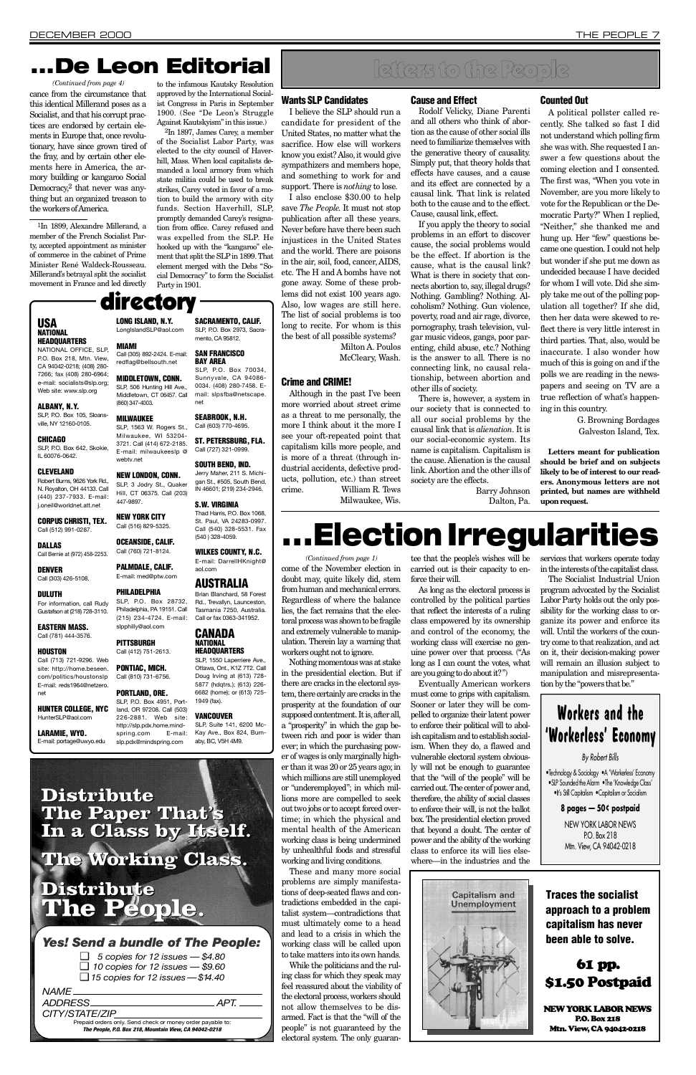I believe the SLP should run a candidate for president of the United States, no matter what the sacrifice. How else will workers know you exist? Also, it would give sympathizers and members hope, and something to work for and support. There is *nothing* to lose.

#### Wants SLP Candidates

Although in the past I've been more worried about street crime as a threat to me personally, the more I think about it the more I see your oft-repeated point that capitalism kills more people, and is more of a threat (through industrial accidents, defective products, pollution, etc.) than street crime. William R. Tews

Milwaukee, Wis.

#### **Cause and Effect**

I also enclose \$30.00 to help save *The People*. It must not stop publication after all these years. Never before have there been such injustices in the United States and the world. There are poisons in the air, soil, food, cancer, AIDS, etc. The H and A bombs have not gone away. Some of these problems did not exist 100 years ago. Also, low wages are still here. The list of social problems is too long to recite. For whom is this the best of all possible systems? Milton A. Poulos

McCleary, Wash.

Rodolf Velicky, Diane Parenti and all others who think of abortion as the cause of other social ills need to familiarize themselves with the generative theory of causality. Simply put, that theory holds that effects have causes, and a cause and its effect are connected by a causal link. That link is related both to the cause and to the effect. Cause, causal link, effect.

#### Crime and CRIME!

G. Browning Bordages Galveston Island, Tex.

If you apply the theory to social problems in an effort to discover cause, the social problems would be the effect. If abortion is the cause, what is the causal link? What is there in society that connects abortion to, say, illegal drugs? Nothing. Gambling? Nothing. A lcoholism? Nothing. Gun violence, poverty, road and air rage, divorce, pornography, trash television, vulgar music videos, gangs, poor parenting, child abuse, etc.? Nothing is the answer to all. There is no connecting link, no causal relationship, between abortion and other ills of society.

There is, however, a system in our society that is connected to all our social problems by the causal link that is *alienation*. It is our social-economic system. Its name is capitalism. Capitalism is the cause. Alienation is the causal link. Abortion and the other ills of society are the effects.

> Barry Johnson Dalton, Pa.

#### Counted Out

SLP, P.O. Box 105, Sloansville, NY 12160-0105.

#### **CHICAGO**

SLP, P.O. Box 642, Skokie, IL 60076-0642.

#### **CLEVELAND**

Robert Burns, 9626 York Rd. N. Rovalton, OH 44133, Call (440) 237-7933. E-mail: j.oneil@worldnet.att.net

A political pollster called recently. She talked so fast I did not understand which polling firm she was with. She requested I answer a few questions about the coming election and I consented. The first was, "When you vote in November, are you more likely to vote for the Republican or the Democratic Party?" When I replied, "Neither," she thanked me and hung up. Her "few" questions became one question. I could not help but wonder if she put me down as undecided because I have decided for whom I will vote. Did she simply take me out of the polling population all together? If she did, then her data were skewed to reflect there is very little interest in third parties. That, also, would be inaccurate. I also wonder how much of this is going on and if the polls we are reading in the newspapers and seeing on TV are a true reflection of what's happening in this country.

CORPUS CHRISTI, TEX. Call (512) 991-0287.

#### **DALLAS**

**DENVER** Call (303) 426-5108.

#### **DULUTH**

Call (713) 721-9296. Web site: http://home.beseen. com/politics/houstonslp E-mail: reds1964@netzero. net

#### HUNTER COLLEGE, NYC HunterSLP@aol.com

LARAMIE, WYO. E-mail: portage@uwyo.edu

LONG ISLAND, N.Y. LongIslandSLP@aol.com **MIAMI** 

Call (305) 892-2424. E-mail: redflag@bellsouth.net

#### 447-9897. NEW YORK CITY Call (516) 829-5325.

OCEANSIDE, CALIF. Call (760) 721-8124. PALMDALE, CALIF. E-mail: med@ptw.com **PHILADELPHIA** SLP, P.O. Box 28732, Philadelphia, PA 19151, Call

**Letters meant for publication should be brief and on subjects likely to be of interest to our readers. Anonymous letters are not printed, but names are withheld upon request.**

## ...Election Irregularities

PONTIAC, MICH. Call (810) 731-6756. PORTLAND, ORE.

## letters to the People

#### 226-2881. Web site: http://slp.pdx.home.mindspring.com E-mail: **VANCOUVER**

SLP, Suite 141, 6200 Mc-Kay Ave., Box 824, Burnaby, BC, V5H 4M9.

SACRAMENTO, CALIF. SLP, P.O. Box 2973, Sacramento, CA 95812. SAN FRANCISCO **BAY AREA** 

SLP. P.O. Box 70034. Sunnyvale, CA 94086- 0034. (408) 280-7458. Email: slpsfba@netscape.

## directory

#### **USA NATIONAL HEADQUARTERS** NATIONAL OFFICE, SLP,

P.O. Box 218, Mtn. View, CA 94042-0218; (408) 280- 7266; fax (408) 280-6964; e-mail: socialists@slp.org; Web site: www.slp.org

#### ALBANY, N.Y.

WILKES COUNTY, N.C. E-mail: DarrellHKnight@ aol.com

#### **AUSTRALIA**

Brian Blanchard, 58 Forest Rd., Trevallyn, Launceston, Tasmania 7250, Australia. Call or fax 0363-341952.

#### **CANADA NATIONAL HEADQUARTERS**

SLP, 1550 Laperriere Ave., Ottawa, Ont., K1Z 7T2. Call

SLP, P.O. Box 4951, Portland, OR 97208. Call (503) Doug Irving at (613) 728- 5877 (hdqtrs.); (613) 226- 6682 (home); or (613) 725- 1949 (fax).

1In 1899, Alexandre Millerand, a member of the French Socialist Party, accepted appointment as minister of commerce in the cabinet of Prime Minister René Waldeck-Rousseau. Millerand's betrayal split the socialist movement in France and led directly

to the infamous Kautsky Resolution approved by the International Socialist Congress in Paris in September 1900. (See "De Leon's Struggle Against Kautskyism" in this issue.)

cance from the circumstance that this identical Millerand poses as a Socialist, and that his corrupt practices are endorsed by certain elements in Europe that, once revolutionary, have since grown tired of the fray, and by certain other elements here in America, the armory building or kangaroo Social Democracy,<sup>2</sup> that never was anything but an organized treason to the workers of America. *(Continued from page 4)*

<sup>2</sup>In 1897, James Carey, a member of the Socialist Labor Party, was elected to the city council of Haverhill, Mass. When local capitalists demanded a local armory from which state militia could be used to break strikes, Carey voted in favor of a motion to build the armory with city funds. Section Haverhill, SLP, promptly demanded Carey's resignation from office. Carey refused and was expelled from the SLP. He hooked up with the "kangaroo" element that split the SLPin 1899. That element merged with the Debs "Social Democracy" to form the Socialist Party in 1901.

#### *Yes! Send a bundle of The People:*

❑ *5 copies for 12 issues — \$4.80* ❑ *10 copies for 12 issues — \$9.60* ❑ *15 copies for 12 issues —\$14 . 4 0*

#### *N A M E*

#### *ADDRESS A P T.* CITY/STATE/ZIP Prepaid orders only. Send check or money order payable to: *The Pe o p l e , P. O. Box 218, Mountain View, CA 94042-0218*



### **Distribute The Paper That's In a Class by Itself.**

slp.pdx@mindspring.com

### **The Working Class.**

### **Distribute The People.**

### . . . De Leon Editorial

• Technology & Sociology •A 'Workerless' Economy •SLP Sounded the Alarm •The 'Knowledge Class' • It's Still Capitalism • Capitalism or Socialism **8 pages — 50¢ postpaid** NEW YORK LABOR NEWS P.O. Box 218 Mtn. View, CA 94042-0218

Call Bernie at (972) 458-2253.

For information, call Rudy Gustafson at (218) 728-3110.

EASTERN MASS. Call (781) 444-3576.

#### **HOUSTON**

MIDDLETOWN, CONN. SLP, 506 Hunting Hill Ave., Middletown, CT 06457. Call (860) 347-4003.

#### **MILWAUKEE**

SLP, 1563 W. Rogers St., Milwaukee, WI 53204-3721. Call (414) 672-2185. E-mail: milwaukeeslp @ webtv.net

#### NEW LONDON, CONN.

SLP, 3 Jodry St., Quaker Hill, CT 06375. Call (203) Jerry Maher, 211 S. Michigan St., #505, South Bend. IN 46601; (219) 234-2946.

#### (215) 234-4724. E-mail: slpphilly@aol.com **PITTSBURGH** Call (412) 751-2613.

SEABROOK, N.H. Call (603) 770-4695. ST. PETERSBURG, FLA. Call (727) 321-0999. SOUTH BEND, IND.

#### S.W. VIRGINIA

net

Thad Harris, P.O. Box 1068, St. Paul, VA 24283-0997. Call (540) 328-5531. Fax (540 ) 328-4059.

> come of the November election in doubt may, quite likely did, stem from human and mechanical errors. Regardless of where the balance lies, the fact remains that the electoral process was shown to be fragile and extremely vulnerable to manipulation. Therein lay a warning that workers ought not to ignore.

Nothing momentous was at stake in the presidential election. But if there are cracks in the electoral system, there certainly are cracks in the prosperity at the foundation of our supposed contentment. It is, after all, a "prosperity" in which the gap between rich and poor is wider than ever; in which the purchasing power of wages is only marginally higher than it was 20 or 25 years ago; in which millions are still unemployed or "underemployed"; in which millions more are compelled to seek out two jobs or to accept forced overtime; in which the physical and mental health of the American working class is being undermined by unhealthful foods and stressful working and living conditions. These and many more social problems are simply manifestations of deep-seated flaws and contradictions embedded in the capitalist system—contradictions that must ultimately come to a head and lead to a crisis in which the working class will be called upon to take matters into its own hands. While the politicians and the ruling class for which they speak may feel reassured about the viability of the electoral process, workers should not allow themselves to be disarmed. Fact is that the "will of the people" is not guaranteed by the electoral system. The only guarantee that the people's wishes will be carried out is their capacity to enforce their will.

As long as the electoral process is controlled by the political parties that reflect the interests of a ruling class empowered by its ownership and control of the economy, the working class will exercise no genuine power over that process. ("As long as I can count the votes, what are you going to do about it?" )

Eventually American workers must come to grips with capitalism. Sooner or later they will be compelled to organize their latent power to enforce their political will to abolish capitalism and to establish socialism. When they do, a flawed and vulnerable electoral system obviously will not be enough to guarantee that the "will of the people" will be carried out. The center of power and, therefore, the ability of social classes to enforce their will, is not the ballot box. The presidential election proved that beyond a doubt. The center of power and the ability of the working class to enforce its will lies elsewhere—in the industries and the

services that workers operate today in the interests of the capitalist class.

The Socialist Industrial Union program advocated by the Socialist Labor Party holds out the only possibility for the working class to organize its power and enforce its will. Until the workers of the country come to that realization, and act on it, their decision-making power will remain an illusion subject to manipulation and misrepresentation by the "powers that be."

*(Continued from page 1)*

Traces the socialist approach to a problem capitalism has never been able to solve.

### 61 pp. \$1.50 Postpaid

**NEW YORK LABOR NEWS** P.O. Box 218 Mtn. View, CA 94042-0218

### **Workers and the ' Workerless' Economy**

*By Robert Bills*